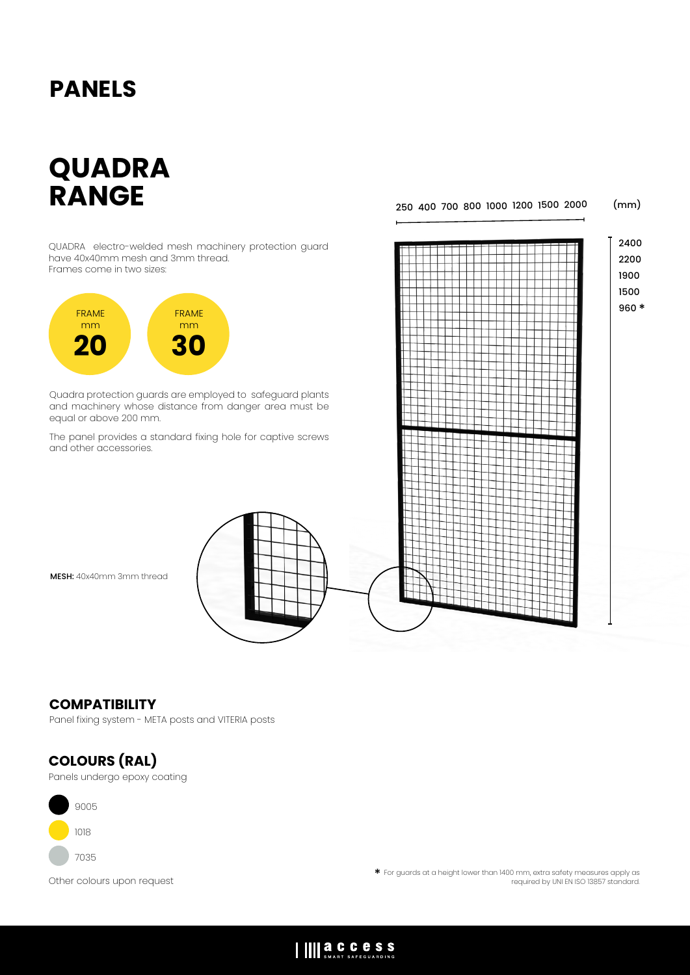# **PANELS**

# **QUADRA RANGE**

250 400 700 800 1000 1200 1500 2000 (mm)

2400

QUADRA electro-welded mesh machinery protection guard have 40x40mm mesh and 3mm thread. Frames come in two sizes:



Quadra protection guards are employed to safeguard plants and machinery whose distance from danger area must be equal or above 200 mm.

The panel provides a standard fixing hole for captive screws and other accessories.

MESH: 40x40mm 3mm thread

### **COMPATIBILITY**

Panel fixing system - META posts and VITERIA posts

### **COLOURS (RAL)**

Panels undergo epoxy coating



Other colours upon request \* For guards at a height lower than 1400 mm, extra safety measures apply as required by UNI EN ISO 13857 standard.

## IIII **a.C.C.C.S.S.**